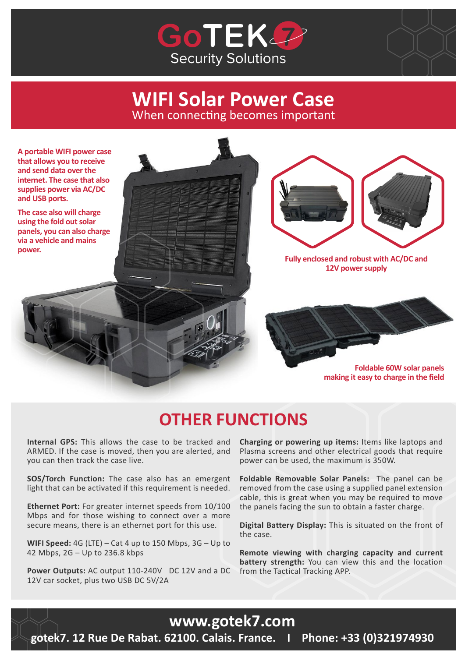



## **WIFI Solar Power Case** When connecting becomes important

**A portable WIFI power case that allows you to receive and send data over the internet. The case that also supplies power via AC/DC and USB ports.**

**The case also will charge using the fold out solar panels, you can also charge via a vehicle and mains power.**





**Fully enclosed and robust with AC/DC and 12V power supply**

> **Foldable 60W solar panels making it easy to charge in the field**

# **OTHER FUNCTIONS**

**Internal GPS:** This allows the case to be tracked and ARMED. If the case is moved, then you are alerted, and you can then track the case live.

**SOS/Torch Function:** The case also has an emergent light that can be activated if this requirement is needed.

**Ethernet Port:** For greater internet speeds from 10/100 Mbps and for those wishing to connect over a more secure means, there is an ethernet port for this use.

**WIFI Speed:** 4G (LTE) – Cat 4 up to 150 Mbps, 3G – Up to 42 Mbps, 2G – Up to 236.8 kbps

**Power Outputs:** AC output 110-240V DC 12V and a DC 12V car socket, plus two USB DC 5V/2A

**Charging or powering up items:** Items like laptops and Plasma screens and other electrical goods that require power can be used, the maximum is 350W.

**Foldable Removable Solar Panels:** The panel can be removed from the case using a supplied panel extension cable, this is great when you may be required to move the panels facing the sun to obtain a faster charge.

**Digital Battery Display:** This is situated on the front of the case.

**Remote viewing with charging capacity and current battery strength:** You can view this and the location from the Tactical Tracking APP.

## **www.gotek7.com**

**gotek7. 12 Rue De Rabat. 62100. Calais. France. I Phone: +33 (0)321974930**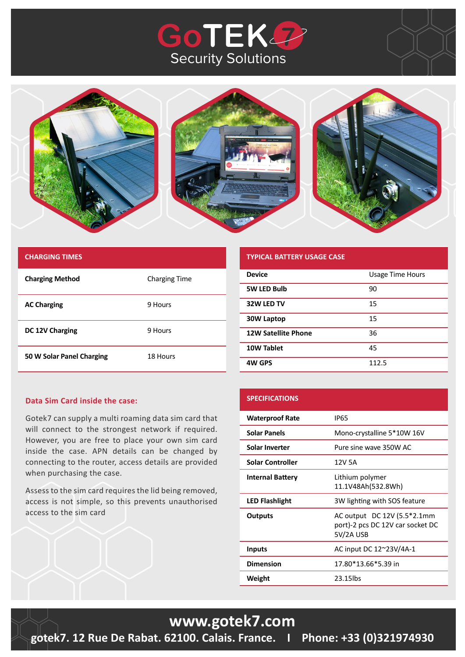# **GoTEK22** Security Solutions



| <b>CHARGING TIMES</b>     |                      |
|---------------------------|----------------------|
| <b>Charging Method</b>    | <b>Charging Time</b> |
| <b>AC Charging</b>        | 9 Hours              |
| DC 12V Charging           | 9 Hours              |
| 50 W Solar Panel Charging | 18 Hours             |

#### **TYPICAL BATTERY USAGE CASE Device Device Example 20 Usage Time Hours**

**SPECIFICATIONS**

| <b>Device</b>              | Usage Time Hours |
|----------------------------|------------------|
| <b>5W LED Bulb</b>         | 90               |
| 32W LED TV                 | 15               |
| 30W Laptop                 | 15               |
| <b>12W Satellite Phone</b> | 36               |
| 10W Tablet                 | 45               |
| <b>4W GPS</b>              | 112.5            |

#### **Data Sim Card inside the case:**

Gotek7 can supply a multi roaming data sim card that will connect to the strongest network if required. However, you are free to place your own sim card inside the case. APN details can be changed by connecting to the router, access details are provided when purchasing the case.

Assess to the sim card requires the lid being removed, access is not simple, so this prevents unauthorised access to the sim card

### **Waterproof Rate** IP65 **Solar Panels** Mono-crystalline 5\*10W 16V **Solar Inverter** Pure sine wave 350W AC **Solar Controller** 12V 5A **Internal Battery** Lithium polymer 11.1V48Ah(532.8Wh) **LED Flashlight** 3W lighting with SOS feature **Outputs** AC output DC 12V (5.5<sup>\*</sup>2.1mm port)-2 pcs DC 12V car socket DC 5V/2A USB **Inputs** AC input DC 12~23V/4A-1 **Dimension** 17.80\*13.66\*5.39 in **Weight** 23.15lbs

## **www.gotek7.com**

**gotek7. 12 Rue De Rabat. 62100. Calais. France. I Phone: +33 (0)321974930**